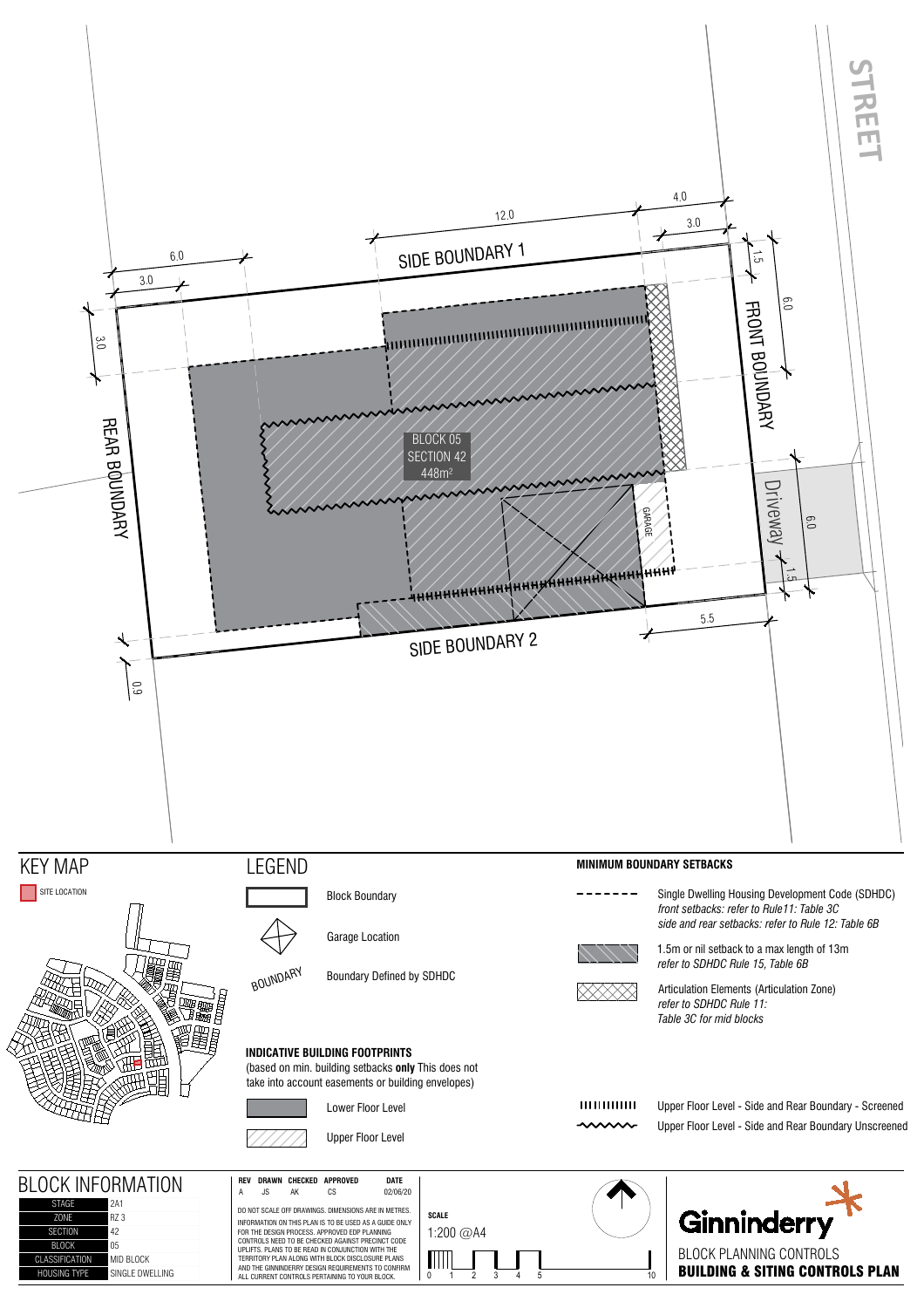